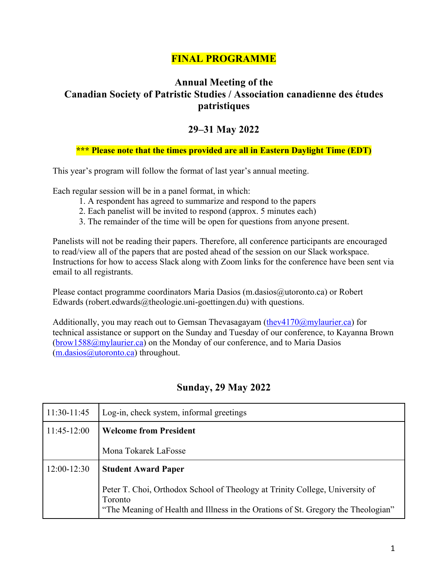# **FINAL PROGRAMME**

# **Annual Meeting of the Canadian Society of Patristic Studies / Association canadienne des études patristiques**

# **29–31 May 2022**

## **\*\*\* Please note that the times provided are all in Eastern Daylight Time (EDT)**

This year's program will follow the format of last year's annual meeting.

Each regular session will be in a panel format, in which:

- 1. A respondent has agreed to summarize and respond to the papers
- 2. Each panelist will be invited to respond (approx. 5 minutes each)
- 3. The remainder of the time will be open for questions from anyone present.

Panelists will not be reading their papers. Therefore, all conference participants are encouraged to read/view all of the papers that are posted ahead of the session on our Slack workspace. Instructions for how to access Slack along with Zoom links for the conference have been sent via email to all registrants.

Please contact programme coordinators Maria Dasios (m.dasios@utoronto.ca) or Robert Edwards (robert.edwards $@$ theologie.uni-goettingen.du) with questions.

Additionally, you may reach out to Gemsan Thevasagayam  $(\text{thev4170@my}$ laurier.ca) for technical assistance or support on the Sunday and Tuesday of our conference, to Kayanna Brown (brow1588@mylaurier.ca) on the Monday of our conference, and to Maria Dasios (m.dasios@utoronto.ca) throughout.

| $11:30-11:45$ | Log-in, check system, informal greetings                                                                                                                                     |
|---------------|------------------------------------------------------------------------------------------------------------------------------------------------------------------------------|
| $11:45-12:00$ | <b>Welcome from President</b>                                                                                                                                                |
|               | Mona Tokarek LaFosse                                                                                                                                                         |
| $12:00-12:30$ | <b>Student Award Paper</b>                                                                                                                                                   |
|               | Peter T. Choi, Orthodox School of Theology at Trinity College, University of<br>Toronto<br>"The Meaning of Health and Illness in the Orations of St. Gregory the Theologian" |

# **Sunday, 29 May 2022**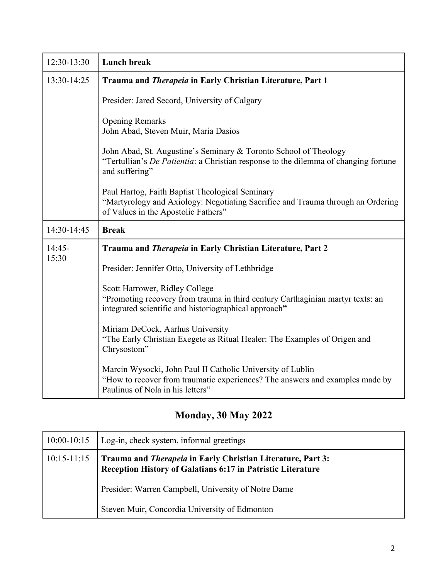| $12:30-13:30$ | <b>Lunch break</b>                                                                                                                                                                |
|---------------|-----------------------------------------------------------------------------------------------------------------------------------------------------------------------------------|
| 13:30-14:25   | Trauma and Therapeia in Early Christian Literature, Part 1                                                                                                                        |
|               | Presider: Jared Secord, University of Calgary                                                                                                                                     |
|               | <b>Opening Remarks</b><br>John Abad, Steven Muir, Maria Dasios                                                                                                                    |
|               | John Abad, St. Augustine's Seminary & Toronto School of Theology<br>"Tertullian's <i>De Patientia</i> : a Christian response to the dilemma of changing fortune<br>and suffering" |
|               | Paul Hartog, Faith Baptist Theological Seminary<br>"Martyrology and Axiology: Negotiating Sacrifice and Trauma through an Ordering<br>of Values in the Apostolic Fathers"         |
| 14:30-14:45   | <b>Break</b>                                                                                                                                                                      |
| $14:45-$      | Trauma and Therapeia in Early Christian Literature, Part 2                                                                                                                        |
| 15:30         | Presider: Jennifer Otto, University of Lethbridge                                                                                                                                 |
|               | Scott Harrower, Ridley College<br>"Promoting recovery from trauma in third century Carthaginian martyr texts: an<br>integrated scientific and historiographical approach"         |
|               | Miriam DeCock, Aarhus University<br>"The Early Christian Exegete as Ritual Healer: The Examples of Origen and<br>Chrysostom"                                                      |
|               | Marcin Wysocki, John Paul II Catholic University of Lublin<br>"How to recover from traumatic experiences? The answers and examples made by<br>Paulinus of Nola in his letters"    |

# **Monday, 30 May 2022**

| $10:00-10:15$   | Log-in, check system, informal greetings                                                                                          |
|-----------------|-----------------------------------------------------------------------------------------------------------------------------------|
| $10:15 - 11:15$ | Trauma and <i>Therapeia</i> in Early Christian Literature, Part 3:<br>Reception History of Galatians 6:17 in Patristic Literature |
|                 | Presider: Warren Campbell, University of Notre Dame                                                                               |
|                 | Steven Muir, Concordia University of Edmonton                                                                                     |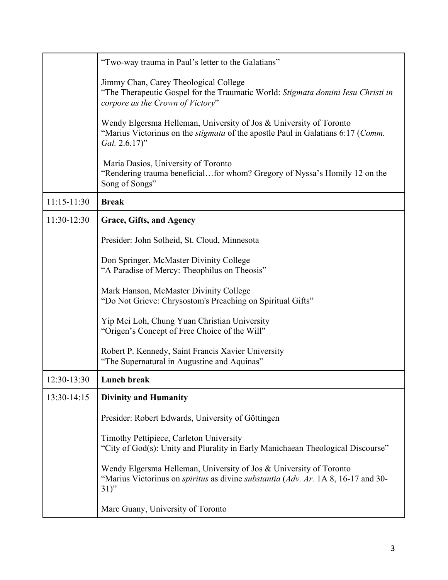|             | "Two-way trauma in Paul's letter to the Galatians"                                                                                                                               |
|-------------|----------------------------------------------------------------------------------------------------------------------------------------------------------------------------------|
|             | Jimmy Chan, Carey Theological College<br>"The Therapeutic Gospel for the Traumatic World: Stigmata domini Iesu Christi in<br>corpore as the Crown of Victory"                    |
|             | Wendy Elgersma Helleman, University of Jos & University of Toronto<br>"Marius Victorinus on the <i>stigmata</i> of the apostle Paul in Galatians 6:17 (Comm.<br>Gal. 2.6.17)"    |
|             | Maria Dasios, University of Toronto<br>"Rendering trauma beneficialfor whom? Gregory of Nyssa's Homily 12 on the<br>Song of Songs"                                               |
| 11:15-11:30 | <b>Break</b>                                                                                                                                                                     |
| 11:30-12:30 | <b>Grace, Gifts, and Agency</b>                                                                                                                                                  |
|             | Presider: John Solheid, St. Cloud, Minnesota                                                                                                                                     |
|             | Don Springer, McMaster Divinity College<br>"A Paradise of Mercy: Theophilus on Theosis"                                                                                          |
|             | Mark Hanson, McMaster Divinity College<br>"Do Not Grieve: Chrysostom's Preaching on Spiritual Gifts"                                                                             |
|             | Yip Mei Loh, Chung Yuan Christian University<br>"Origen's Concept of Free Choice of the Will"                                                                                    |
|             | Robert P. Kennedy, Saint Francis Xavier University<br>"The Supernatural in Augustine and Aquinas"                                                                                |
| 12:30-13:30 | Lunch break                                                                                                                                                                      |
| 13:30-14:15 | <b>Divinity and Humanity</b>                                                                                                                                                     |
|             | Presider: Robert Edwards, University of Göttingen                                                                                                                                |
|             | Timothy Pettipiece, Carleton University<br>"City of God(s): Unity and Plurality in Early Manichaean Theological Discourse"                                                       |
|             | Wendy Elgersma Helleman, University of Jos & University of Toronto<br>"Marius Victorinus on <i>spiritus</i> as divine <i>substantia</i> (Adv. Ar. 1A 8, 16-17 and 30-<br>$31)$ " |
|             | Marc Guany, University of Toronto                                                                                                                                                |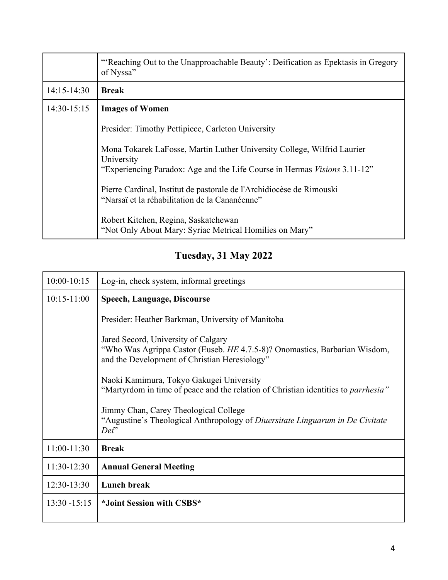|                 | "Reaching Out to the Unapproachable Beauty': Deification as Epektasis in Gregory<br>of Nyssa"                                                                             |
|-----------------|---------------------------------------------------------------------------------------------------------------------------------------------------------------------------|
| $14:15 - 14:30$ | <b>Break</b>                                                                                                                                                              |
| $14:30-15:15$   | <b>Images of Women</b>                                                                                                                                                    |
|                 | Presider: Timothy Pettipiece, Carleton University                                                                                                                         |
|                 | Mona Tokarek LaFosse, Martin Luther University College, Wilfrid Laurier<br>University<br>"Experiencing Paradox: Age and the Life Course in Hermas <i>Visions</i> 3.11-12" |
|                 | Pierre Cardinal, Institut de pastorale de l'Archidiocèse de Rimouski<br>"Narsaï et la réhabilitation de la Cananéenne"                                                    |
|                 | Robert Kitchen, Regina, Saskatchewan<br>"Not Only About Mary: Syriac Metrical Homilies on Mary"                                                                           |

# **Tuesday, 31 May 2022**

| $10:00-10:15$   | Log-in, check system, informal greetings                                                                                                                           |
|-----------------|--------------------------------------------------------------------------------------------------------------------------------------------------------------------|
| $10:15 - 11:00$ | <b>Speech, Language, Discourse</b>                                                                                                                                 |
|                 | Presider: Heather Barkman, University of Manitoba                                                                                                                  |
|                 | Jared Secord, University of Calgary<br>"Who Was Agrippa Castor (Euseb. HE 4.7.5-8)? Onomastics, Barbarian Wisdom,<br>and the Development of Christian Heresiology" |
|                 | Naoki Kamimura, Tokyo Gakugei University<br>"Martyrdom in time of peace and the relation of Christian identities to <i>parrhesia</i> "                             |
|                 | Jimmy Chan, Carey Theological College<br>"Augustine's Theological Anthropology of Diuersitate Linguarum in De Civitate<br>Dei"                                     |
| 11:00-11:30     | <b>Break</b>                                                                                                                                                       |
| 11:30-12:30     | <b>Annual General Meeting</b>                                                                                                                                      |
| 12:30-13:30     | Lunch break                                                                                                                                                        |
| $13:30 - 15:15$ | *Joint Session with CSBS*                                                                                                                                          |
|                 |                                                                                                                                                                    |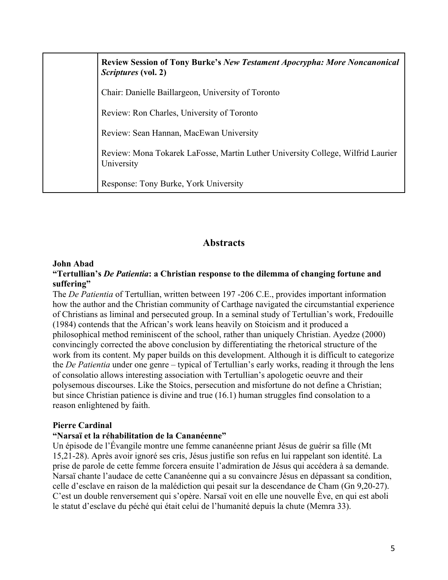| <b>Review Session of Tony Burke's New Testament Apocrypha: More Noncanonical</b><br><i>Scriptures</i> (vol. 2) |
|----------------------------------------------------------------------------------------------------------------|
| Chair: Danielle Baillargeon, University of Toronto                                                             |
| Review: Ron Charles, University of Toronto                                                                     |
| Review: Sean Hannan, MacEwan University                                                                        |
| Review: Mona Tokarek LaFosse, Martin Luther University College, Wilfrid Laurier<br>University                  |
| Response: Tony Burke, York University                                                                          |

# **Abstracts**

#### **John Abad**

#### **"Tertullian's** *De Patientia***: a Christian response to the dilemma of changing fortune and suffering"**

The *De Patientia* of Tertullian, written between 197 -206 C.E., provides important information how the author and the Christian community of Carthage navigated the circumstantial experience of Christians as liminal and persecuted group. In a seminal study of Tertullian's work, Fredouille (1984) contends that the African's work leans heavily on Stoicism and it produced a philosophical method reminiscent of the school, rather than uniquely Christian. Ayedze (2000) convincingly corrected the above conclusion by differentiating the rhetorical structure of the work from its content. My paper builds on this development. Although it is difficult to categorize the *De Patientia* under one genre – typical of Tertullian's early works, reading it through the lens of consolatio allows interesting association with Tertullian's apologetic oeuvre and their polysemous discourses. Like the Stoics, persecution and misfortune do not define a Christian; but since Christian patience is divine and true (16.1) human struggles find consolation to a reason enlightened by faith.

## **Pierre Cardinal**

## **"Narsaï et la réhabilitation de la Cananéenne"**

Un épisode de l'Évangile montre une femme cananéenne priant Jésus de guérir sa fille (Mt 15,21-28). Après avoir ignoré ses cris, Jésus justifie son refus en lui rappelant son identité. La prise de parole de cette femme forcera ensuite l'admiration de Jésus qui accédera à sa demande. Narsaï chante l'audace de cette Cananéenne qui a su convaincre Jésus en dépassant sa condition, celle d'esclave en raison de la malédiction qui pesait sur la descendance de Cham (Gn 9,20-27). C'est un double renversement qui s'opère. Narsaï voit en elle une nouvelle Ève, en qui est aboli le statut d'esclave du péché qui était celui de l'humanité depuis la chute (Memra 33).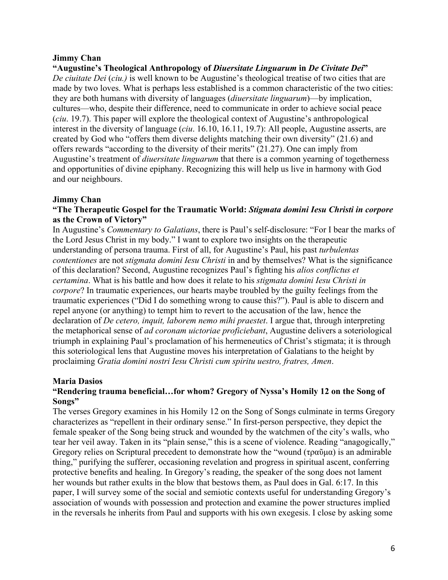#### **Jimmy Chan**

#### **"Augustine's Theological Anthropology of** *Diuersitate Linguarum* **in** *De Civitate Dei***"**

*De ciuitate Dei* (*ciu.)* is well known to be Augustine's theological treatise of two cities that are made by two loves. What is perhaps less established is a common characteristic of the two cities: they are both humans with diversity of languages (*diuersitate linguarum*)—by implication, cultures—who, despite their difference, need to communicate in order to achieve social peace (*ciu*. 19.7). This paper will explore the theological context of Augustine's anthropological interest in the diversity of language (*ciu*. 16.10, 16.11, 19.7): All people, Augustine asserts, are created by God who "offers them diverse delights matching their own diversity" (21.6) and offers rewards "according to the diversity of their merits" (21.27). One can imply from Augustine's treatment of *diuersitate linguarum* that there is a common yearning of togetherness and opportunities of divine epiphany. Recognizing this will help us live in harmony with God and our neighbours.

#### **Jimmy Chan**

#### **"The Therapeutic Gospel for the Traumatic World:** *Stigmata domini Iesu Christi in corpore* **as the Crown of Victory"**

In Augustine's *Commentary to Galatians*, there is Paul's self-disclosure: "For I bear the marks of the Lord Jesus Christ in my body." I want to explore two insights on the therapeutic understanding of persona trauma. First of all, for Augustine's Paul, his past *turbulentas contentiones* are not *stigmata domini Iesu Christi* in and by themselves? What is the significance of this declaration? Second, Augustine recognizes Paul's fighting his *alios conflictus et certamina*. What is his battle and how does it relate to his *stigmata domini Iesu Christi in corpore*? In traumatic experiences, our hearts maybe troubled by the guilty feelings from the traumatic experiences ("Did I do something wrong to cause this?"). Paul is able to discern and repel anyone (or anything) to tempt him to revert to the accusation of the law, hence the declaration of *De cetero, inquit, laborem nemo mihi praestet*. I argue that, through interpreting the metaphorical sense of *ad coronam uictoriae proficiebant*, Augustine delivers a soteriological triumph in explaining Paul's proclamation of his hermeneutics of Christ's stigmata; it is through this soteriological lens that Augustine moves his interpretation of Galatians to the height by proclaiming *Gratia domini nostri Iesu Christi cum spiritu uestro, fratres, Amen*.

#### **Maria Dasios**

#### **"Rendering trauma beneficial…for whom? Gregory of Nyssa's Homily 12 on the Song of Songs"**

The verses Gregory examines in his Homily 12 on the Song of Songs culminate in terms Gregory characterizes as "repellent in their ordinary sense." In first-person perspective, they depict the female speaker of the Song being struck and wounded by the watchmen of the city's walls, who tear her veil away. Taken in its "plain sense," this is a scene of violence. Reading "anagogically," Gregory relies on Scriptural precedent to demonstrate how the "wound (τραῦμα) is an admirable thing," purifying the sufferer, occasioning revelation and progress in spiritual ascent, conferring protective benefits and healing. In Gregory's reading, the speaker of the song does not lament her wounds but rather exults in the blow that bestows them, as Paul does in Gal. 6:17. In this paper, I will survey some of the social and semiotic contexts useful for understanding Gregory's association of wounds with possession and protection and examine the power structures implied in the reversals he inherits from Paul and supports with his own exegesis. I close by asking some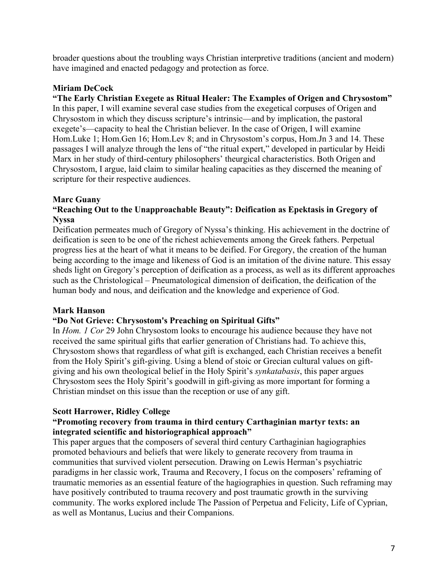broader questions about the troubling ways Christian interpretive traditions (ancient and modern) have imagined and enacted pedagogy and protection as force.

## **Miriam DeCock**

## **"The Early Christian Exegete as Ritual Healer: The Examples of Origen and Chrysostom"**

In this paper, I will examine several case studies from the exegetical corpuses of Origen and Chrysostom in which they discuss scripture's intrinsic—and by implication, the pastoral exegete's—capacity to heal the Christian believer. In the case of Origen, I will examine Hom.Luke 1; Hom.Gen 16; Hom.Lev 8; and in Chrysostom's corpus, Hom.Jn 3 and 14. These passages I will analyze through the lens of "the ritual expert," developed in particular by Heidi Marx in her study of third-century philosophers' theurgical characteristics. Both Origen and Chrysostom, I argue, laid claim to similar healing capacities as they discerned the meaning of scripture for their respective audiences.

## **Marc Guany**

#### **"Reaching Out to the Unapproachable Beauty": Deification as Epektasis in Gregory of Nyssa**

Deification permeates much of Gregory of Nyssa's thinking. His achievement in the doctrine of deification is seen to be one of the richest achievements among the Greek fathers. Perpetual progress lies at the heart of what it means to be deified. For Gregory, the creation of the human being according to the image and likeness of God is an imitation of the divine nature. This essay sheds light on Gregory's perception of deification as a process, as well as its different approaches such as the Christological – Pneumatological dimension of deification, the deification of the human body and nous, and deification and the knowledge and experience of God.

## **Mark Hanson**

## **"Do Not Grieve: Chrysostom's Preaching on Spiritual Gifts"**

In *Hom. 1 Cor* 29 John Chrysostom looks to encourage his audience because they have not received the same spiritual gifts that earlier generation of Christians had. To achieve this, Chrysostom shows that regardless of what gift is exchanged, each Christian receives a benefit from the Holy Spirit's gift-giving. Using a blend of stoic or Grecian cultural values on giftgiving and his own theological belief in the Holy Spirit's *synkatabasis*, this paper argues Chrysostom sees the Holy Spirit's goodwill in gift-giving as more important for forming a Christian mindset on this issue than the reception or use of any gift.

## **Scott Harrower, Ridley College**

#### **"Promoting recovery from trauma in third century Carthaginian martyr texts: an integrated scientific and historiographical approach"**

This paper argues that the composers of several third century Carthaginian hagiographies promoted behaviours and beliefs that were likely to generate recovery from trauma in communities that survived violent persecution. Drawing on Lewis Herman's psychiatric paradigms in her classic work, Trauma and Recovery, I focus on the composers' reframing of traumatic memories as an essential feature of the hagiographies in question. Such reframing may have positively contributed to trauma recovery and post traumatic growth in the surviving community. The works explored include The Passion of Perpetua and Felicity, Life of Cyprian, as well as Montanus, Lucius and their Companions.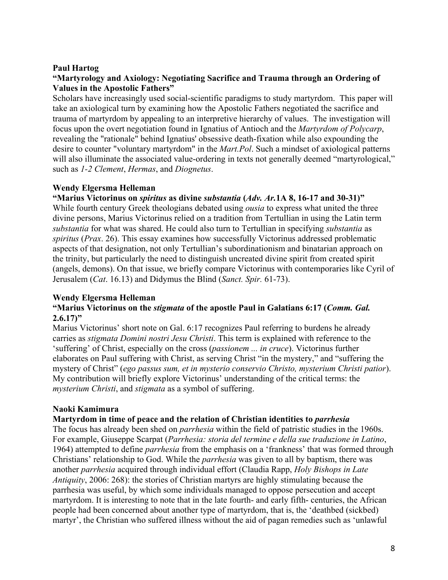#### **Paul Hartog**

#### **"Martyrology and Axiology: Negotiating Sacrifice and Trauma through an Ordering of Values in the Apostolic Fathers"**

Scholars have increasingly used social-scientific paradigms to study martyrdom. This paper will take an axiological turn by examining how the Apostolic Fathers negotiated the sacrifice and trauma of martyrdom by appealing to an interpretive hierarchy of values. The investigation will focus upon the overt negotiation found in Ignatius of Antioch and the *Martyrdom of Polycarp*, revealing the "rationale" behind Ignatius' obsessive death-fixation while also expounding the desire to counter "voluntary martyrdom" in the *Mart.Pol*. Such a mindset of axiological patterns will also illuminate the associated value-ordering in texts not generally deemed "martyrological," such as *1-2 Clement*, *Hermas*, and *Diognetus*.

#### **Wendy Elgersma Helleman**

#### **"Marius Victorinus on** *spiritus* **as divine** *substantia* **(***Adv. Ar.***1A 8, 16-17 and 30-31)"**

While fourth century Greek theologians debated using *ousia* to express what united the three divine persons, Marius Victorinus relied on a tradition from Tertullian in using the Latin term *substantia* for what was shared. He could also turn to Tertullian in specifying *substantia* as *spiritus* (*Prax*. 26). This essay examines how successfully Victorinus addressed problematic aspects of that designation, not only Tertullian's subordinationism and binatarian approach on the trinity, but particularly the need to distinguish uncreated divine spirit from created spirit (angels, demons). On that issue, we briefly compare Victorinus with contemporaries like Cyril of Jerusalem (*Cat*. 16.13) and Didymus the Blind (*Sanct. Spir.* 61-73).

#### **Wendy Elgersma Helleman**

#### **"Marius Victorinus on the** *stigmata* **of the apostle Paul in Galatians 6:17 (***Comm. Gal.* **2.6.17)"**

Marius Victorinus' short note on Gal. 6:17 recognizes Paul referring to burdens he already carries as *stigmata Domini nostri Jesu Christi*. This term is explained with reference to the 'suffering' of Christ, especially on the cross (*passionem ... in cruce*). Victorinus further elaborates on Paul suffering with Christ, as serving Christ "in the mystery," and "suffering the mystery of Christ" (*ego passus sum, et in mysterio conservio Christo, mysterium Christi patior*). My contribution will briefly explore Victorinus' understanding of the critical terms: the *mysterium Christi*, and *stigmata* as a symbol of suffering.

## **Naoki Kamimura**

#### **Martyrdom in time of peace and the relation of Christian identities to** *parrhesia*

The focus has already been shed on *parrhesia* within the field of patristic studies in the 1960s. For example, Giuseppe Scarpat (*Parrhesia: storia del termine e della sue traduzione in Latino*, 1964) attempted to define *parrhesia* from the emphasis on a 'frankness' that was formed through Christians' relationship to God. While the *parrhesia* was given to all by baptism, there was another *parrhesia* acquired through individual effort (Claudia Rapp, *Holy Bishops in Late Antiquity*, 2006: 268): the stories of Christian martyrs are highly stimulating because the parrhesia was useful, by which some individuals managed to oppose persecution and accept martyrdom. It is interesting to note that in the late fourth- and early fifth- centuries, the African people had been concerned about another type of martyrdom, that is, the 'deathbed (sickbed) martyr', the Christian who suffered illness without the aid of pagan remedies such as 'unlawful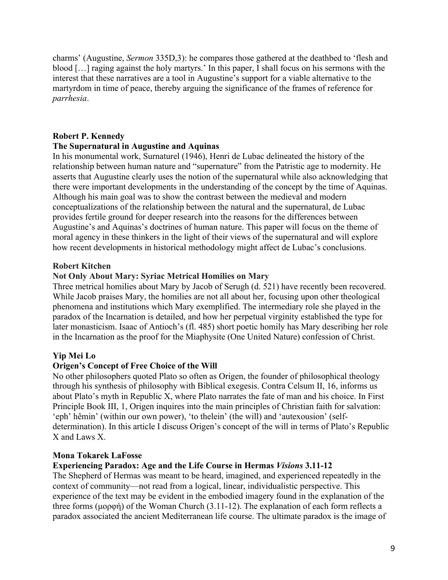charms' (Augustine, *Sermon* 335D,3): he compares those gathered at the deathbed to 'flesh and blood […] raging against the holy martyrs.' In this paper, I shall focus on his sermons with the interest that these narratives are a tool in Augustine's support for a viable alternative to the martyrdom in time of peace, thereby arguing the significance of the frames of reference for *parrhesia*.

## **Robert P. Kennedy**

#### **The Supernatural in Augustine and Aquinas**

In his monumental work, Surnaturel (1946), Henri de Lubac delineated the history of the relationship between human nature and "supernature" from the Patristic age to modernity. He asserts that Augustine clearly uses the notion of the supernatural while also acknowledging that there were important developments in the understanding of the concept by the time of Aquinas. Although his main goal was to show the contrast between the medieval and modern conceptualizations of the relationship between the natural and the supernatural, de Lubac provides fertile ground for deeper research into the reasons for the differences between Augustine's and Aquinas's doctrines of human nature. This paper will focus on the theme of moral agency in these thinkers in the light of their views of the supernatural and will explore how recent developments in historical methodology might affect de Lubac's conclusions.

#### **Robert Kitchen**

#### **Not Only About Mary: Syriac Metrical Homilies on Mary**

Three metrical homilies about Mary by Jacob of Serugh (d. 521) have recently been recovered. While Jacob praises Mary, the homilies are not all about her, focusing upon other theological phenomena and institutions which Mary exemplified. The intermediary role she played in the paradox of the Incarnation is detailed, and how her perpetual virginity established the type for later monasticism. Isaac of Antioch's (fl. 485) short poetic homily has Mary describing her role in the Incarnation as the proof for the Miaphysite (One United Nature) confession of Christ.

#### **Yip Mei Lo**

#### **Origen's Concept of Free Choice of the Will**

No other philosophers quoted Plato so often as Origen, the founder of philosophical theology through his synthesis of philosophy with Biblical exegesis. Contra Celsum II, 16, informs us about Plato's myth in Republic X, where Plato narrates the fate of man and his choice. In First Principle Book III, 1, Origen inquires into the main principles of Christian faith for salvation: 'eph' hêmin' (within our own power), 'to thelein' (the will) and 'autexousion' (selfdetermination). In this article I discuss Origen's concept of the will in terms of Plato's Republic X and Laws X.

#### **Mona Tokarek LaFosse**

#### **Experiencing Paradox: Age and the Life Course in Hermas** *Visions* **3.11-12**

The Shepherd of Hermas was meant to be heard, imagined, and experienced repeatedly in the context of community—not read from a logical, linear, individualistic perspective. This experience of the text may be evident in the embodied imagery found in the explanation of the three forms (μορφή) of the Woman Church (3.11-12). The explanation of each form reflects a paradox associated the ancient Mediterranean life course. The ultimate paradox is the image of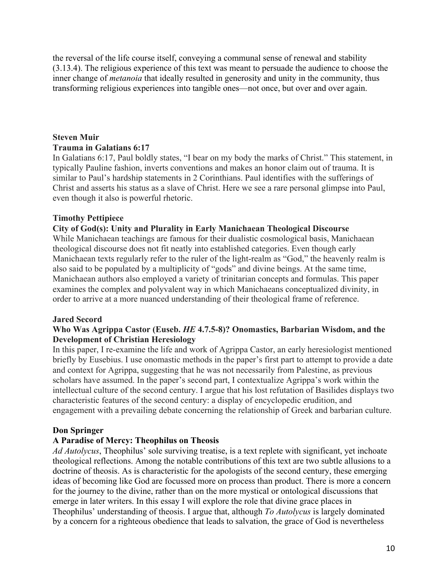the reversal of the life course itself, conveying a communal sense of renewal and stability (3.13.4). The religious experience of this text was meant to persuade the audience to choose the inner change of *metanoia* that ideally resulted in generosity and unity in the community, thus transforming religious experiences into tangible ones—not once, but over and over again.

# **Steven Muir Trauma in Galatians 6:17**

In Galatians 6:17, Paul boldly states, "I bear on my body the marks of Christ." This statement, in typically Pauline fashion, inverts conventions and makes an honor claim out of trauma. It is similar to Paul's hardship statements in 2 Corinthians. Paul identifies with the sufferings of Christ and asserts his status as a slave of Christ. Here we see a rare personal glimpse into Paul, even though it also is powerful rhetoric.

## **Timothy Pettipiece**

#### **City of God(s): Unity and Plurality in Early Manichaean Theological Discourse**

While Manichaean teachings are famous for their dualistic cosmological basis, Manichaean theological discourse does not fit neatly into established categories. Even though early Manichaean texts regularly refer to the ruler of the light-realm as "God," the heavenly realm is also said to be populated by a multiplicity of "gods" and divine beings. At the same time, Manichaean authors also employed a variety of trinitarian concepts and formulas. This paper examines the complex and polyvalent way in which Manichaeans conceptualized divinity, in order to arrive at a more nuanced understanding of their theological frame of reference.

## **Jared Secord**

#### **Who Was Agrippa Castor (Euseb.** *HE* **4.7.5-8)? Onomastics, Barbarian Wisdom, and the Development of Christian Heresiology**

In this paper, I re-examine the life and work of Agrippa Castor, an early heresiologist mentioned briefly by Eusebius. I use onomastic methods in the paper's first part to attempt to provide a date and context for Agrippa, suggesting that he was not necessarily from Palestine, as previous scholars have assumed. In the paper's second part, I contextualize Agrippa's work within the intellectual culture of the second century. I argue that his lost refutation of Basilides displays two characteristic features of the second century: a display of encyclopedic erudition, and engagement with a prevailing debate concerning the relationship of Greek and barbarian culture.

## **Don Springer**

## **A Paradise of Mercy: Theophilus on Theosis**

*Ad Autolycus*, Theophilus' sole surviving treatise, is a text replete with significant, yet inchoate theological reflections. Among the notable contributions of this text are two subtle allusions to a doctrine of theosis. As is characteristic for the apologists of the second century, these emerging ideas of becoming like God are focussed more on process than product. There is more a concern for the journey to the divine, rather than on the more mystical or ontological discussions that emerge in later writers. In this essay I will explore the role that divine grace places in Theophilus' understanding of theosis. I argue that, although *To Autolycus* is largely dominated by a concern for a righteous obedience that leads to salvation, the grace of God is nevertheless